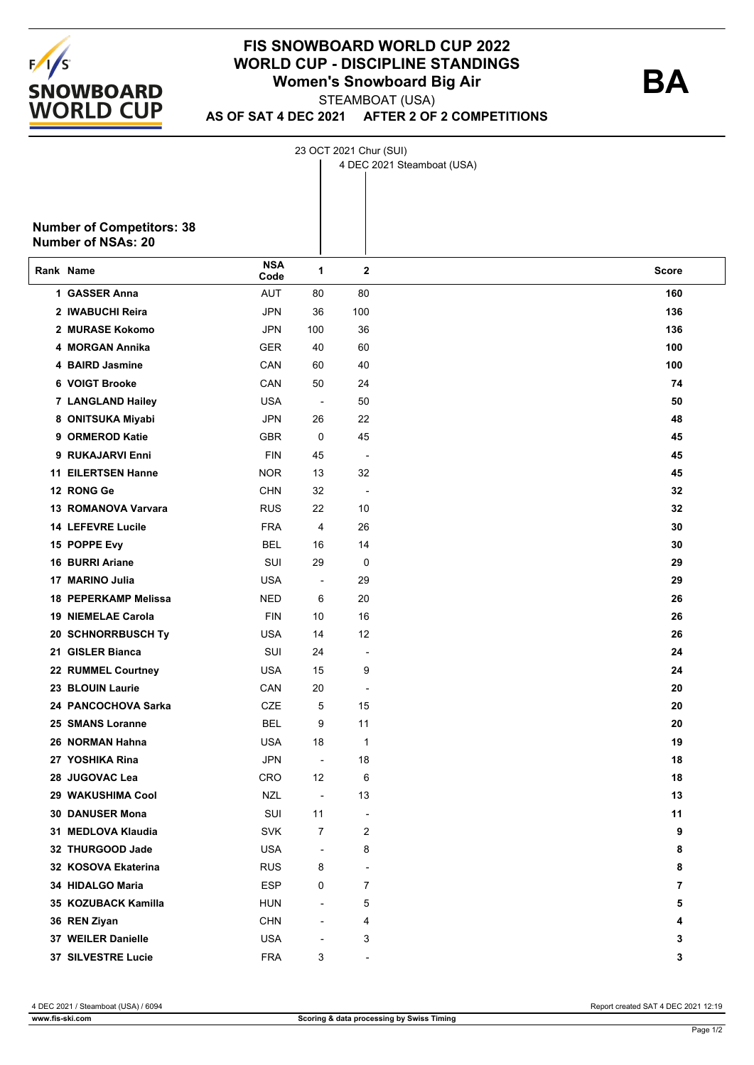

## **FIS SNOWBOARD WORLD CUP 2022 WORLD CUP - DISCIPLINE STANDINGS Women's Snowboard Big Air**

STEAMBOAT (USA)

23 OCT 2021 Chur (SUI)

**AS OF SAT 4 DEC 2021 AFTER 2 OF 2 COMPETITIONS**

|                                  |                    |                          |                          | 4 DEC 2021 Steamboat (USA) |  |
|----------------------------------|--------------------|--------------------------|--------------------------|----------------------------|--|
|                                  |                    |                          |                          |                            |  |
|                                  |                    |                          |                          |                            |  |
| <b>Number of Competitors: 38</b> |                    |                          |                          |                            |  |
| <b>Number of NSAs: 20</b>        |                    |                          |                          |                            |  |
| Rank Name                        | <b>NSA</b><br>Code | 1                        | $\mathbf{2}$             | <b>Score</b>               |  |
| 1 GASSER Anna                    | <b>AUT</b>         | 80                       | 80                       | 160                        |  |
| 2 IWABUCHI Reira                 | <b>JPN</b>         | 36                       | 100                      | 136                        |  |
| 2 MURASE Kokomo                  | <b>JPN</b>         | 100                      | 36                       | 136                        |  |
| 4 MORGAN Annika                  | <b>GER</b>         | 40                       | 60                       | 100                        |  |
| 4 BAIRD Jasmine                  | CAN                | 60                       | 40                       | 100                        |  |
| 6 VOIGT Brooke                   | CAN                | 50                       | 24                       | 74                         |  |
| 7 LANGLAND Hailey                | <b>USA</b>         | $\overline{\phantom{a}}$ | 50                       | 50                         |  |
| 8 ONITSUKA Miyabi                | JPN                | 26                       | 22                       | 48                         |  |
| 9 ORMEROD Katie                  | <b>GBR</b>         | 0                        | 45                       | 45                         |  |
| 9 RUKAJARVI Enni                 | <b>FIN</b>         | 45                       | $\blacksquare$           | 45                         |  |
| <b>11 EILERTSEN Hanne</b>        | <b>NOR</b>         | 13                       | 32                       | 45                         |  |
| 12 RONG Ge                       | <b>CHN</b>         | 32                       | $\blacksquare$           | 32                         |  |
| <b>13 ROMANOVA Varvara</b>       | <b>RUS</b>         | 22                       | 10                       | 32                         |  |
| <b>14 LEFEVRE Lucile</b>         | <b>FRA</b>         | 4                        | 26                       | 30                         |  |
| 15 POPPE Evy                     | BEL                | 16                       | 14                       | 30                         |  |
| <b>16 BURRI Ariane</b>           | SUI                | 29                       | 0                        | 29                         |  |
| 17 MARINO Julia                  | <b>USA</b>         | $\overline{\phantom{a}}$ | 29                       | 29                         |  |
| 18 PEPERKAMP Melissa             | <b>NED</b>         | 6                        | 20                       | 26                         |  |
| <b>19 NIEMELAE Carola</b>        | <b>FIN</b>         | 10                       | 16                       | 26                         |  |
| 20 SCHNORRBUSCH Ty               | <b>USA</b>         | 14                       | 12                       | 26                         |  |
| 21 GISLER Bianca                 | SUI                | 24                       | $\overline{a}$           | 24                         |  |
| 22 RUMMEL Courtney               | <b>USA</b>         | 15                       | 9                        | 24                         |  |
| 23 BLOUIN Laurie                 | CAN                | 20                       | $\overline{a}$           | 20                         |  |
| 24 PANCOCHOVA Sarka              | <b>CZE</b>         | 5                        | 15                       | 20                         |  |
| 25 SMANS Loranne                 | <b>BEL</b>         | 9                        | 11                       | 20                         |  |
| 26 NORMAN Hahna                  | <b>USA</b>         | 18                       | 1                        | 19                         |  |
| 27 YOSHIKA Rina                  | <b>JPN</b>         | $\overline{\phantom{a}}$ | $18\,$                   | 18                         |  |
| 28 JUGOVAC Lea                   | CRO                | 12                       | 6                        | 18                         |  |
| 29 WAKUSHIMA Cool                | <b>NZL</b>         | $\blacksquare$           | 13                       | 13                         |  |
| 30 DANUSER Mona                  | SUI                | 11                       | $\overline{\phantom{a}}$ | 11                         |  |
| 31 MEDLOVA Klaudia               | <b>SVK</b>         | $\overline{7}$           | $\overline{c}$           | 9                          |  |
| 32 THURGOOD Jade                 | <b>USA</b>         | $\overline{\phantom{a}}$ | 8                        | 8                          |  |
| 32 KOSOVA Ekaterina              | <b>RUS</b>         | 8                        |                          | 8                          |  |
| 34 HIDALGO Maria                 | <b>ESP</b>         | 0                        | 7                        | 7                          |  |
| 35 KOZUBACK Kamilla              | <b>HUN</b>         | ÷,                       | 5                        | 5                          |  |
| 36 REN Ziyan                     | <b>CHN</b>         | $\overline{\phantom{a}}$ | 4                        | 4                          |  |
| 37 WEILER Danielle               | <b>USA</b>         | L,                       | 3                        | 3                          |  |
| 37 SILVESTRE Lucie               | <b>FRA</b>         | 3                        | $\overline{a}$           | 3                          |  |

4 DEC 2021 / Steamboat (USA) / 6094 Report created SAT 4 DEC 2021 12:19

**BA**